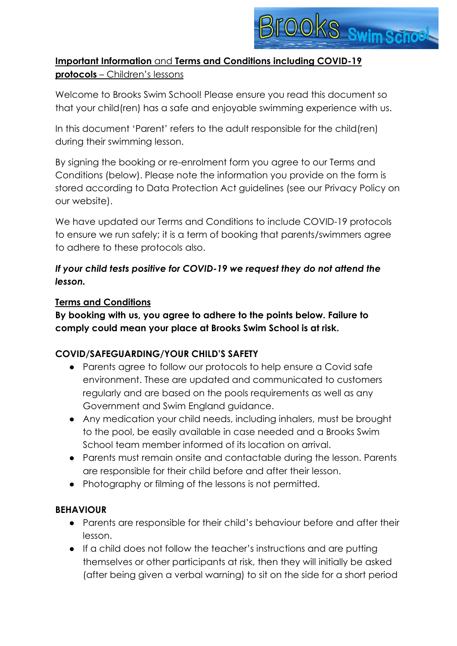

# **Important Information** and **Terms and Conditions including COVID-19 protocols** – Children's lessons

Welcome to Brooks Swim School! Please ensure you read this document so that your child(ren) has a safe and enjoyable swimming experience with us.

In this document 'Parent' refers to the adult responsible for the child(ren) during their swimming lesson.

By signing the booking or re-enrolment form you agree to our Terms and Conditions (below). Please note the information you provide on the form is stored according to Data Protection Act guidelines (see our Privacy Policy on our website).

We have updated our Terms and Conditions to include COVID-19 protocols to ensure we run safely; it is a term of booking that parents/swimmers agree to adhere to these protocols also.

# *If your child tests positive for COVID-19 we request they do not attend the lesson.*

#### **Terms and Conditions**

**By booking with us, you agree to adhere to the points below. Failure to comply could mean your place at Brooks Swim School is at risk.** 

### **COVID/SAFEGUARDING/YOUR CHILD'S SAFETY**

- Parents agree to follow our protocols to help ensure a Covid safe environment. These are updated and communicated to customers regularly and are based on the pools requirements as well as any Government and Swim England guidance.
- Any medication your child needs, including inhalers, must be brought to the pool, be easily available in case needed and a Brooks Swim School team member informed of its location on arrival.
- Parents must remain onsite and contactable during the lesson. Parents are responsible for their child before and after their lesson.
- Photography or filming of the lessons is not permitted.

### **BEHAVIOUR**

- Parents are responsible for their child's behaviour before and after their lesson.
- If a child does not follow the teacher's instructions and are putting themselves or other participants at risk, then they will initially be asked (after being given a verbal warning) to sit on the side for a short period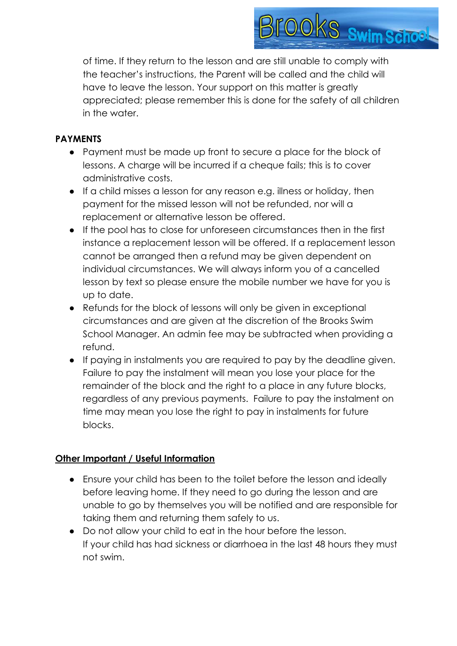

of time. If they return to the lesson and are still unable to comply with the teacher's instructions, the Parent will be called and the child will have to leave the lesson. Your support on this matter is greatly appreciated; please remember this is done for the safety of all children in the water.

#### **PAYMENTS**

- Payment must be made up front to secure a place for the block of lessons. A charge will be incurred if a cheque fails; this is to cover administrative costs.
- If a child misses a lesson for any reason e.g. illness or holiday, then payment for the missed lesson will not be refunded, nor will a replacement or alternative lesson be offered.
- If the pool has to close for unforeseen circumstances then in the first instance a replacement lesson will be offered. If a replacement lesson cannot be arranged then a refund may be given dependent on individual circumstances. We will always inform you of a cancelled lesson by text so please ensure the mobile number we have for you is up to date.
- Refunds for the block of lessons will only be given in exceptional circumstances and are given at the discretion of the Brooks Swim School Manager. An admin fee may be subtracted when providing a refund.
- If paying in instalments you are required to pay by the deadline given. Failure to pay the instalment will mean you lose your place for the remainder of the block and the right to a place in any future blocks, regardless of any previous payments. Failure to pay the instalment on time may mean you lose the right to pay in instalments for future blocks.

### **Other Important / Useful Information**

- Ensure your child has been to the toilet before the lesson and ideally before leaving home. If they need to go during the lesson and are unable to go by themselves you will be notified and are responsible for taking them and returning them safely to us.
- Do not allow your child to eat in the hour before the lesson. If your child has had sickness or diarrhoea in the last 48 hours they must not swim.